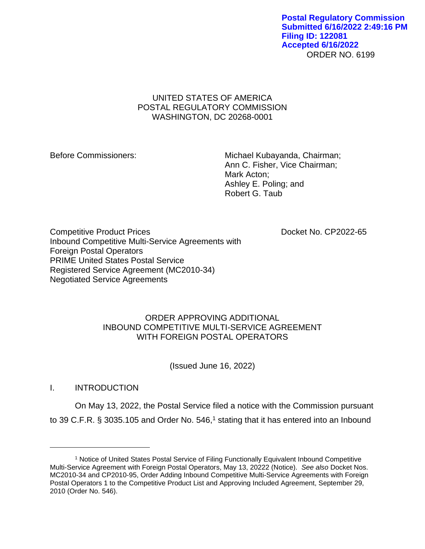### ORDER NO. 6199 **Postal Regulatory Commission Submitted 6/16/2022 2:49:16 PM Filing ID: 122081 Accepted 6/16/2022**

# UNITED STATES OF AMERICA POSTAL REGULATORY COMMISSION WASHINGTON, DC 20268-0001

Before Commissioners: Michael Kubayanda, Chairman; Ann C. Fisher, Vice Chairman; Mark Acton; Ashley E. Poling; and Robert G. Taub

Competitive Product Prices **Docket No. CP2022-65** Inbound Competitive Multi-Service Agreements with Foreign Postal Operators PRIME United States Postal Service Registered Service Agreement (MC2010-34) Negotiated Service Agreements

# ORDER APPROVING ADDITIONAL INBOUND COMPETITIVE MULTI-SERVICE AGREEMENT WITH FOREIGN POSTAL OPERATORS

(Issued June 16, 2022)

I. INTRODUCTION

On May 13, 2022, the Postal Service filed a notice with the Commission pursuant to 39 C.F.R.  $\S$  3035.105 and Order No. 546,<sup>1</sup> stating that it has entered into an Inbound

<sup>&</sup>lt;sup>1</sup> Notice of United States Postal Service of Filing Functionally Equivalent Inbound Competitive Multi-Service Agreement with Foreign Postal Operators, May 13, 20222 (Notice). *See also* Docket Nos. MC2010-34 and CP2010-95, Order Adding Inbound Competitive Multi-Service Agreements with Foreign Postal Operators 1 to the Competitive Product List and Approving Included Agreement, September 29, 2010 (Order No. 546).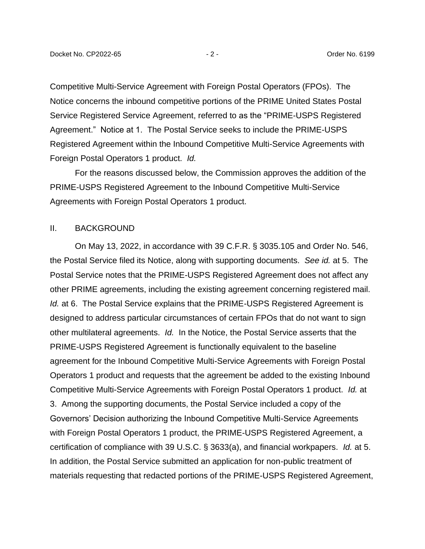Competitive Multi-Service Agreement with Foreign Postal Operators (FPOs). The Notice concerns the inbound competitive portions of the PRIME United States Postal Service Registered Service Agreement, referred to as the "PRIME-USPS Registered Agreement." Notice at 1. The Postal Service seeks to include the PRIME-USPS Registered Agreement within the Inbound Competitive Multi-Service Agreements with Foreign Postal Operators 1 product. *Id.*

For the reasons discussed below, the Commission approves the addition of the PRIME-USPS Registered Agreement to the Inbound Competitive Multi-Service Agreements with Foreign Postal Operators 1 product.

### II. BACKGROUND

On May 13, 2022, in accordance with 39 C.F.R. § 3035.105 and Order No. 546, the Postal Service filed its Notice, along with supporting documents. *See id.* at 5. The Postal Service notes that the PRIME-USPS Registered Agreement does not affect any other PRIME agreements, including the existing agreement concerning registered mail. *Id.* at 6. The Postal Service explains that the PRIME-USPS Registered Agreement is designed to address particular circumstances of certain FPOs that do not want to sign other multilateral agreements. *Id.* In the Notice, the Postal Service asserts that the PRIME-USPS Registered Agreement is functionally equivalent to the baseline agreement for the Inbound Competitive Multi-Service Agreements with Foreign Postal Operators 1 product and requests that the agreement be added to the existing Inbound Competitive Multi-Service Agreements with Foreign Postal Operators 1 product. *Id.* at 3. Among the supporting documents, the Postal Service included a copy of the Governors' Decision authorizing the Inbound Competitive Multi-Service Agreements with Foreign Postal Operators 1 product, the PRIME-USPS Registered Agreement, a certification of compliance with 39 U.S.C. § 3633(a), and financial workpapers. *Id.* at 5. In addition, the Postal Service submitted an application for non-public treatment of materials requesting that redacted portions of the PRIME-USPS Registered Agreement,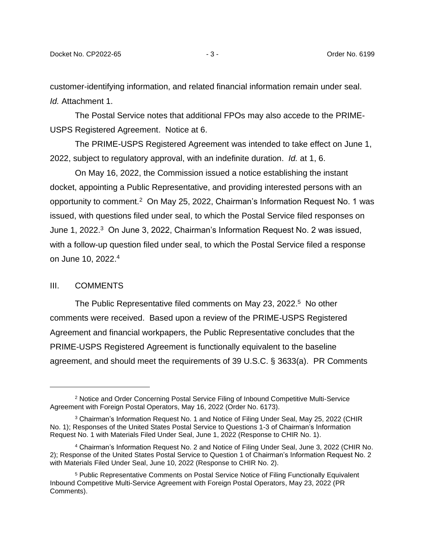customer-identifying information, and related financial information remain under seal. *Id.* Attachment 1.

The Postal Service notes that additional FPOs may also accede to the PRIME-USPS Registered Agreement. Notice at 6.

The PRIME-USPS Registered Agreement was intended to take effect on June 1, 2022, subject to regulatory approval, with an indefinite duration. *Id.* at 1, 6.

On May 16, 2022, the Commission issued a notice establishing the instant docket, appointing a Public Representative, and providing interested persons with an opportunity to comment.<sup>2</sup> On May 25, 2022, Chairman's Information Request No. 1 was issued, with questions filed under seal, to which the Postal Service filed responses on June 1, 2022.<sup>3</sup> On June 3, 2022, Chairman's Information Request No. 2 was issued, with a follow-up question filed under seal, to which the Postal Service filed a response on June 10, 2022.<sup>4</sup>

#### III. COMMENTS

The Public Representative filed comments on May 23, 2022.<sup>5</sup> No other comments were received. Based upon a review of the PRIME-USPS Registered Agreement and financial workpapers, the Public Representative concludes that the PRIME-USPS Registered Agreement is functionally equivalent to the baseline agreement, and should meet the requirements of 39 U.S.C. § 3633(a). PR Comments

<sup>2</sup> Notice and Order Concerning Postal Service Filing of Inbound Competitive Multi-Service Agreement with Foreign Postal Operators, May 16, 2022 (Order No. 6173).

<sup>3</sup> Chairman's Information Request No. 1 and Notice of Filing Under Seal, May 25, 2022 (CHIR No. 1); Responses of the United States Postal Service to Questions 1-3 of Chairman's Information Request No. 1 with Materials Filed Under Seal, June 1, 2022 (Response to CHIR No. 1).

<sup>4</sup> Chairman's Information Request No. 2 and Notice of Filing Under Seal, June 3, 2022 (CHIR No. 2); Response of the United States Postal Service to Question 1 of Chairman's Information Request No. 2 with Materials Filed Under Seal, June 10, 2022 (Response to CHIR No. 2).

<sup>5</sup> Public Representative Comments on Postal Service Notice of Filing Functionally Equivalent Inbound Competitive Multi-Service Agreement with Foreign Postal Operators, May 23, 2022 (PR Comments).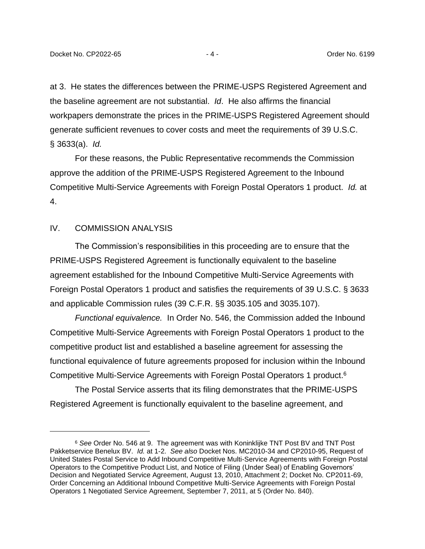at 3. He states the differences between the PRIME-USPS Registered Agreement and the baseline agreement are not substantial. *Id*. He also affirms the financial workpapers demonstrate the prices in the PRIME-USPS Registered Agreement should generate sufficient revenues to cover costs and meet the requirements of 39 U.S.C. § 3633(a). *Id.*

For these reasons, the Public Representative recommends the Commission approve the addition of the PRIME-USPS Registered Agreement to the Inbound Competitive Multi-Service Agreements with Foreign Postal Operators 1 product. *Id.* at 4.

### IV. COMMISSION ANALYSIS

The Commission's responsibilities in this proceeding are to ensure that the PRIME-USPS Registered Agreement is functionally equivalent to the baseline agreement established for the Inbound Competitive Multi-Service Agreements with Foreign Postal Operators 1 product and satisfies the requirements of 39 U.S.C. § 3633 and applicable Commission rules (39 C.F.R. §§ 3035.105 and 3035.107).

*Functional equivalence.* In Order No. 546, the Commission added the Inbound Competitive Multi-Service Agreements with Foreign Postal Operators 1 product to the competitive product list and established a baseline agreement for assessing the functional equivalence of future agreements proposed for inclusion within the Inbound Competitive Multi-Service Agreements with Foreign Postal Operators 1 product.<sup>6</sup>

The Postal Service asserts that its filing demonstrates that the PRIME-USPS Registered Agreement is functionally equivalent to the baseline agreement, and

<sup>6</sup> *See* Order No. 546 at 9. The agreement was with Koninklijke TNT Post BV and TNT Post Pakketservice Benelux BV. *Id.* at 1-2. *See also* Docket Nos. MC2010-34 and CP2010-95, Request of United States Postal Service to Add Inbound Competitive Multi-Service Agreements with Foreign Postal Operators to the Competitive Product List, and Notice of Filing (Under Seal) of Enabling Governors' Decision and Negotiated Service Agreement, August 13, 2010, Attachment 2; Docket No. CP2011-69, Order Concerning an Additional Inbound Competitive Multi-Service Agreements with Foreign Postal Operators 1 Negotiated Service Agreement, September 7, 2011, at 5 (Order No. 840).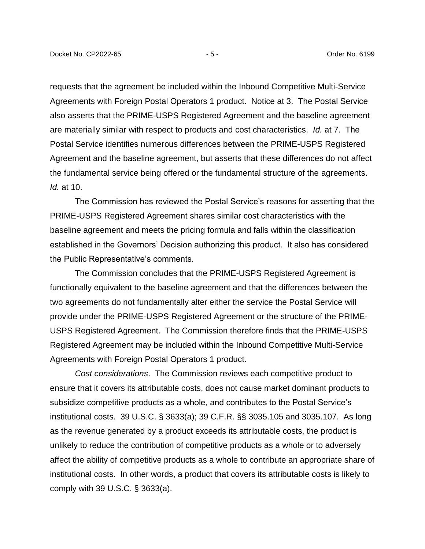requests that the agreement be included within the Inbound Competitive Multi-Service Agreements with Foreign Postal Operators 1 product. Notice at 3. The Postal Service also asserts that the PRIME-USPS Registered Agreement and the baseline agreement are materially similar with respect to products and cost characteristics. *Id.* at 7. The Postal Service identifies numerous differences between the PRIME-USPS Registered Agreement and the baseline agreement, but asserts that these differences do not affect the fundamental service being offered or the fundamental structure of the agreements. *Id.* at 10.

The Commission has reviewed the Postal Service's reasons for asserting that the PRIME-USPS Registered Agreement shares similar cost characteristics with the baseline agreement and meets the pricing formula and falls within the classification established in the Governors' Decision authorizing this product. It also has considered the Public Representative's comments.

The Commission concludes that the PRIME-USPS Registered Agreement is functionally equivalent to the baseline agreement and that the differences between the two agreements do not fundamentally alter either the service the Postal Service will provide under the PRIME-USPS Registered Agreement or the structure of the PRIME-USPS Registered Agreement. The Commission therefore finds that the PRIME-USPS Registered Agreement may be included within the Inbound Competitive Multi-Service Agreements with Foreign Postal Operators 1 product.

*Cost considerations*. The Commission reviews each competitive product to ensure that it covers its attributable costs, does not cause market dominant products to subsidize competitive products as a whole, and contributes to the Postal Service's institutional costs. 39 U.S.C. § 3633(a); 39 C.F.R. §§ 3035.105 and 3035.107. As long as the revenue generated by a product exceeds its attributable costs, the product is unlikely to reduce the contribution of competitive products as a whole or to adversely affect the ability of competitive products as a whole to contribute an appropriate share of institutional costs. In other words, a product that covers its attributable costs is likely to comply with 39 U.S.C. § 3633(a).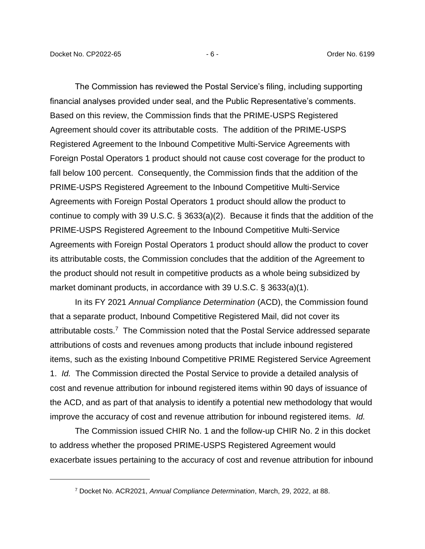The Commission has reviewed the Postal Service's filing, including supporting financial analyses provided under seal, and the Public Representative's comments. Based on this review, the Commission finds that the PRIME-USPS Registered Agreement should cover its attributable costs. The addition of the PRIME-USPS Registered Agreement to the Inbound Competitive Multi-Service Agreements with Foreign Postal Operators 1 product should not cause cost coverage for the product to fall below 100 percent. Consequently, the Commission finds that the addition of the PRIME-USPS Registered Agreement to the Inbound Competitive Multi-Service Agreements with Foreign Postal Operators 1 product should allow the product to continue to comply with 39 U.S.C. § 3633(a)(2). Because it finds that the addition of the PRIME-USPS Registered Agreement to the Inbound Competitive Multi-Service Agreements with Foreign Postal Operators 1 product should allow the product to cover its attributable costs, the Commission concludes that the addition of the Agreement to the product should not result in competitive products as a whole being subsidized by market dominant products, in accordance with 39 U.S.C. § 3633(a)(1).

In its FY 2021 *Annual Compliance Determination* (ACD), the Commission found that a separate product, Inbound Competitive Registered Mail, did not cover its attributable costs.<sup>7</sup> The Commission noted that the Postal Service addressed separate attributions of costs and revenues among products that include inbound registered items, such as the existing Inbound Competitive PRIME Registered Service Agreement 1. *Id.* The Commission directed the Postal Service to provide a detailed analysis of cost and revenue attribution for inbound registered items within 90 days of issuance of the ACD, and as part of that analysis to identify a potential new methodology that would improve the accuracy of cost and revenue attribution for inbound registered items. *Id.*

The Commission issued CHIR No. 1 and the follow-up CHIR No. 2 in this docket to address whether the proposed PRIME-USPS Registered Agreement would exacerbate issues pertaining to the accuracy of cost and revenue attribution for inbound

<sup>7</sup> Docket No. ACR2021, *Annual Compliance Determination*, March, 29, 2022, at 88.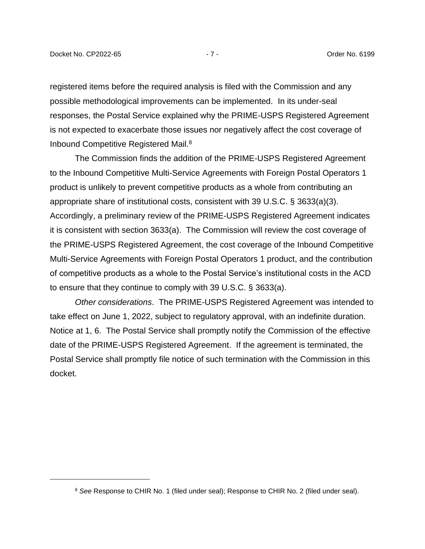registered items before the required analysis is filed with the Commission and any possible methodological improvements can be implemented. In its under-seal responses, the Postal Service explained why the PRIME-USPS Registered Agreement is not expected to exacerbate those issues nor negatively affect the cost coverage of Inbound Competitive Registered Mail.<sup>8</sup>

The Commission finds the addition of the PRIME-USPS Registered Agreement to the Inbound Competitive Multi-Service Agreements with Foreign Postal Operators 1 product is unlikely to prevent competitive products as a whole from contributing an appropriate share of institutional costs, consistent with 39 U.S.C. § 3633(a)(3). Accordingly, a preliminary review of the PRIME-USPS Registered Agreement indicates it is consistent with section 3633(a). The Commission will review the cost coverage of the PRIME-USPS Registered Agreement, the cost coverage of the Inbound Competitive Multi-Service Agreements with Foreign Postal Operators 1 product, and the contribution of competitive products as a whole to the Postal Service's institutional costs in the ACD to ensure that they continue to comply with 39 U.S.C. § 3633(a).

*Other considerations*. The PRIME-USPS Registered Agreement was intended to take effect on June 1, 2022, subject to regulatory approval, with an indefinite duration. Notice at 1, 6. The Postal Service shall promptly notify the Commission of the effective date of the PRIME-USPS Registered Agreement. If the agreement is terminated, the Postal Service shall promptly file notice of such termination with the Commission in this docket.

<sup>8</sup> *See* Response to CHIR No. 1 (filed under seal); Response to CHIR No. 2 (filed under seal).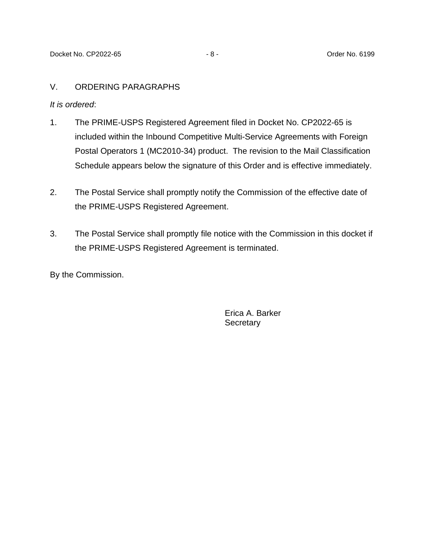## V. ORDERING PARAGRAPHS

*It is ordered*:

- 1. The PRIME-USPS Registered Agreement filed in Docket No. CP2022-65 is included within the Inbound Competitive Multi-Service Agreements with Foreign Postal Operators 1 (MC2010-34) product. The revision to the Mail Classification Schedule appears below the signature of this Order and is effective immediately.
- 2. The Postal Service shall promptly notify the Commission of the effective date of the PRIME-USPS Registered Agreement.
- 3. The Postal Service shall promptly file notice with the Commission in this docket if the PRIME-USPS Registered Agreement is terminated.

By the Commission.

Erica A. Barker **Secretary**